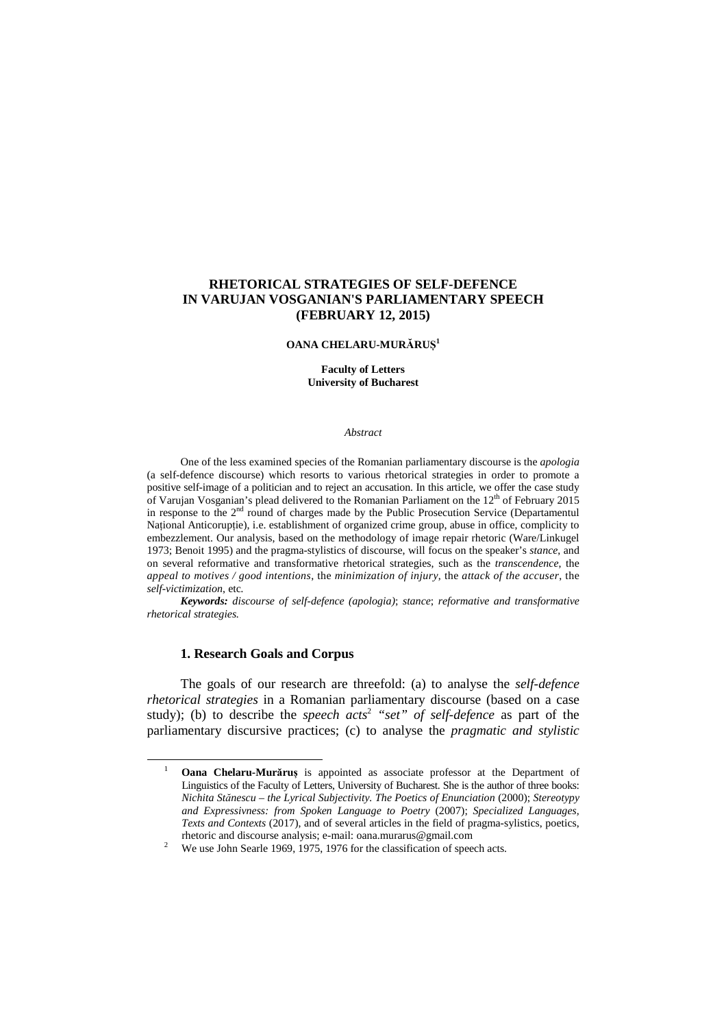# **RHETORICAL STRATEGIES OF SELF-DEFENCE IN VARUJAN VOSGANIAN'S PARLIAMENTARY SPEECH (FEBRUARY 12, 2015)**

## **OANA CHELARU-MURĂRUȘ 1**

**Faculty of Letters University of Bucharest** 

## *Abstract*

One of the less examined species of the Romanian parliamentary discourse is the *apologia* (a self-defence discourse) which resorts to various rhetorical strategies in order to promote a positive self-image of a politician and to reject an accusation. In this article, we offer the case study of Varujan Vosganian's plead delivered to the Romanian Parliament on the 12<sup>th</sup> of February 2015 in response to the 2<sup>nd</sup> round of charges made by the Public Prosecution Service (Departamentul Național Anticorupție), i.e. establishment of organized crime group, abuse in office, complicity to embezzlement. Our analysis, based on the methodology of image repair rhetoric (Ware/Linkugel 1973; Benoit 1995) and the pragma-stylistics of discourse, will focus on the speaker's *stance*, and on several reformative and transformative rhetorical strategies, such as the *transcendence*, the *appeal to motives / good intentions*, the *minimization of injury*, the *attack of the accuser*, the *self-victimization*, etc*.* 

*Keywords: discourse of self-defence (apologia)*; *stance*; *reformative and transformative rhetorical strategies.* 

## **1. Research Goals and Corpus**

l

The goals of our research are threefold: (a) to analyse the *self-defence rhetorical strategies* in a Romanian parliamentary discourse (based on a case study); (b) to describe the *speech acts*<sup>2</sup>  *"set" of self-defence* as part of the parliamentary discursive practices; (c) to analyse the *pragmatic and stylistic* 

<sup>1</sup> **Oana Chelaru-Murăruș** is appointed as associate professor at the Department of Linguistics of the Faculty of Letters, University of Bucharest. She is the author of three books: *Nichita Stănescu – the Lyrical Subjectivity. The Poetics of Enunciation* (2000); *Stereotypy and Expressivness: from Spoken Language to Poetry* (2007); *Specialized Languages, Texts and Contexts* (2017), and of several articles in the field of pragma-sylistics, poetics, rhetoric and discourse analysis; e-mail: oana.murarus@gmail.com

<sup>2</sup> We use John Searle 1969, 1975, 1976 for the classification of speech acts.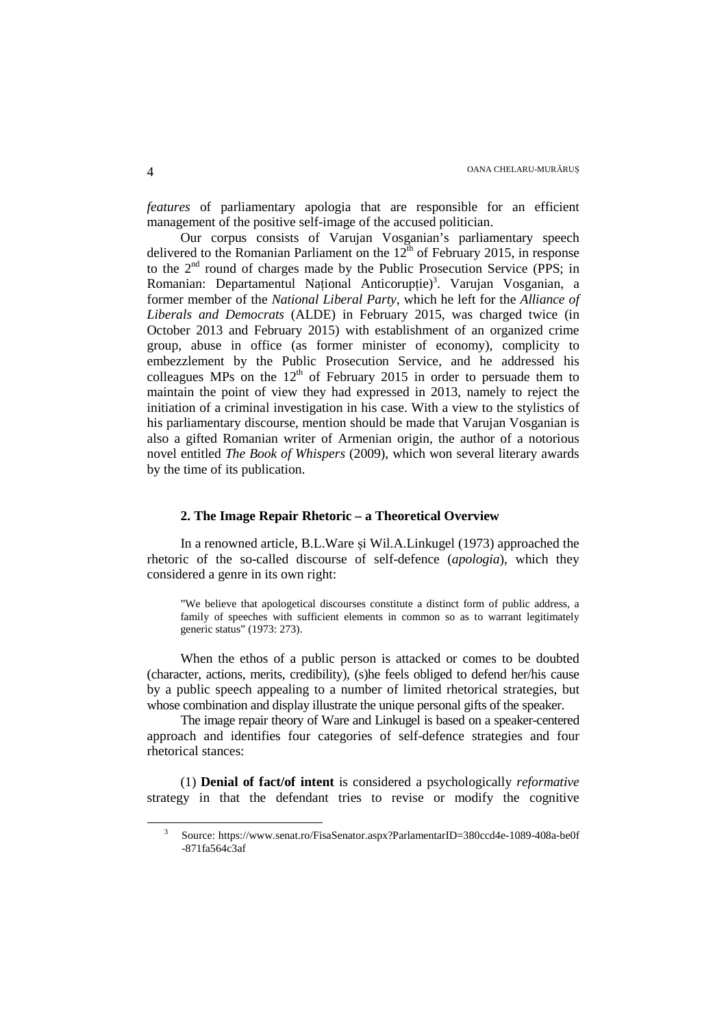*features* of parliamentary apologia that are responsible for an efficient management of the positive self-image of the accused politician.

Our corpus consists of Varujan Vosganian's parliamentary speech delivered to the Romanian Parliament on the  $12<sup>th</sup>$  of February 2015, in response to the  $2<sup>nd</sup>$  round of charges made by the Public Prosecution Service (PPS; in Romanian: Departamentul Național Anticorupție)<sup>3</sup>. Varujan Vosganian, a former member of the *National Liberal Party*, which he left for the *Alliance of Liberals and Democrats* (ALDE) in February 2015, was charged twice (in October 2013 and February 2015) with establishment of an organized crime group, abuse in office (as former minister of economy), complicity to embezzlement by the Public Prosecution Service, and he addressed his colleagues MPs on the  $12<sup>th</sup>$  of February 2015 in order to persuade them to maintain the point of view they had expressed in 2013, namely to reject the initiation of a criminal investigation in his case. With a view to the stylistics of his parliamentary discourse, mention should be made that Varujan Vosganian is also a gifted Romanian writer of Armenian origin, the author of a notorious novel entitled *The Book of Whispers* (2009), which won several literary awards by the time of its publication.

# **2. The Image Repair Rhetoric – a Theoretical Overview**

In a renowned article, B.L.Ware și Wil.A.Linkugel (1973) approached the rhetoric of the so-called discourse of self-defence (*apologia*), which they considered a genre in its own right:

"We believe that apologetical discourses constitute a distinct form of public address, a family of speeches with sufficient elements in common so as to warrant legitimately generic status" (1973: 273).

When the ethos of a public person is attacked or comes to be doubted (character, actions, merits, credibility), (s)he feels obliged to defend her/his cause by a public speech appealing to a number of limited rhetorical strategies, but whose combination and display illustrate the unique personal gifts of the speaker.

The image repair theory of Ware and Linkugel is based on a speaker-centered approach and identifies four categories of self-defence strategies and four rhetorical stances:

(1) **Denial of fact/of intent** is considered a psychologically *reformative* strategy in that the defendant tries to revise or modify the cognitive

 $\overline{a}$ 

<sup>3</sup> Source: https://www.senat.ro/FisaSenator.aspx?ParlamentarID=380ccd4e-1089-408a-be0f -871fa564c3af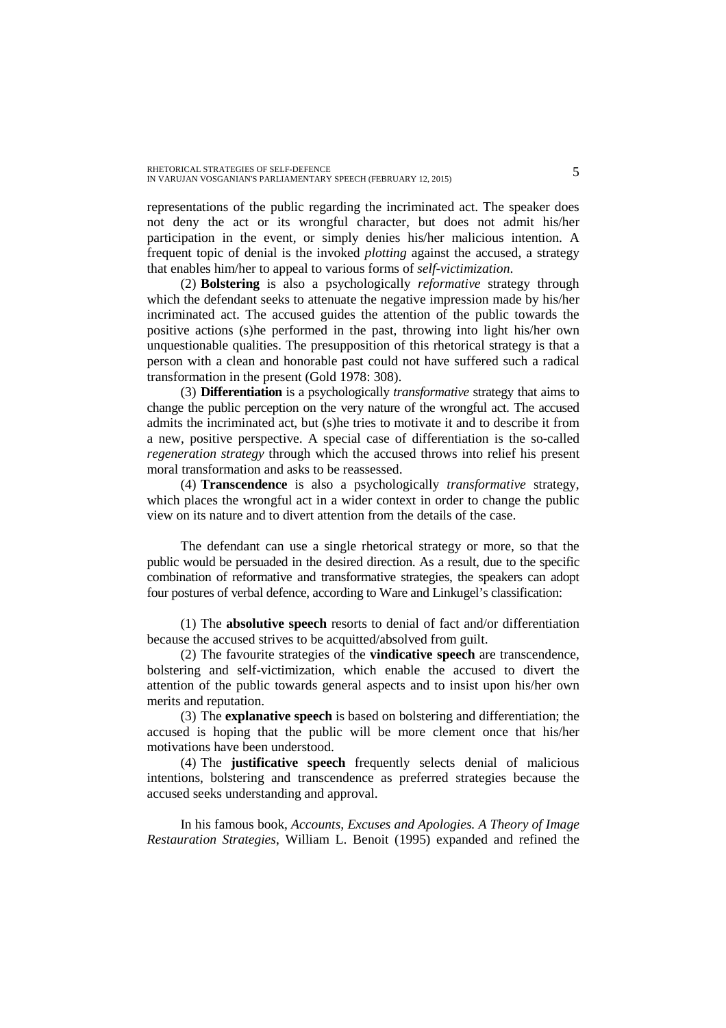representations of the public regarding the incriminated act. The speaker does not deny the act or its wrongful character, but does not admit his/her participation in the event, or simply denies his/her malicious intention. A frequent topic of denial is the invoked *plotting* against the accused, a strategy that enables him/her to appeal to various forms of *self-victimization*.

(2) **Bolstering** is also a psychologically *reformative* strategy through which the defendant seeks to attenuate the negative impression made by his/her incriminated act. The accused guides the attention of the public towards the positive actions (s)he performed in the past, throwing into light his/her own unquestionable qualities. The presupposition of this rhetorical strategy is that a person with a clean and honorable past could not have suffered such a radical transformation in the present (Gold 1978: 308).

(3) **Differentiation** is a psychologically *transformative* strategy that aims to change the public perception on the very nature of the wrongful act. The accused admits the incriminated act, but (s)he tries to motivate it and to describe it from a new, positive perspective. A special case of differentiation is the so-called *regeneration strategy* through which the accused throws into relief his present moral transformation and asks to be reassessed.

(4) **Transcendence** is also a psychologically *transformative* strategy, which places the wrongful act in a wider context in order to change the public view on its nature and to divert attention from the details of the case.

The defendant can use a single rhetorical strategy or more, so that the public would be persuaded in the desired direction. As a result, due to the specific combination of reformative and transformative strategies, the speakers can adopt four postures of verbal defence, according to Ware and Linkugel's classification:

(1) The **absolutive speech** resorts to denial of fact and/or differentiation because the accused strives to be acquitted/absolved from guilt.

(2) The favourite strategies of the **vindicative speech** are transcendence, bolstering and self-victimization, which enable the accused to divert the attention of the public towards general aspects and to insist upon his/her own merits and reputation.

(3) The **explanative speech** is based on bolstering and differentiation; the accused is hoping that the public will be more clement once that his/her motivations have been understood.

(4) The **justificative speech** frequently selects denial of malicious intentions, bolstering and transcendence as preferred strategies because the accused seeks understanding and approval.

In his famous book, *Accounts, Excuses and Apologies. A Theory of Image Restauration Strategies*, William L. Benoit (1995) expanded and refined the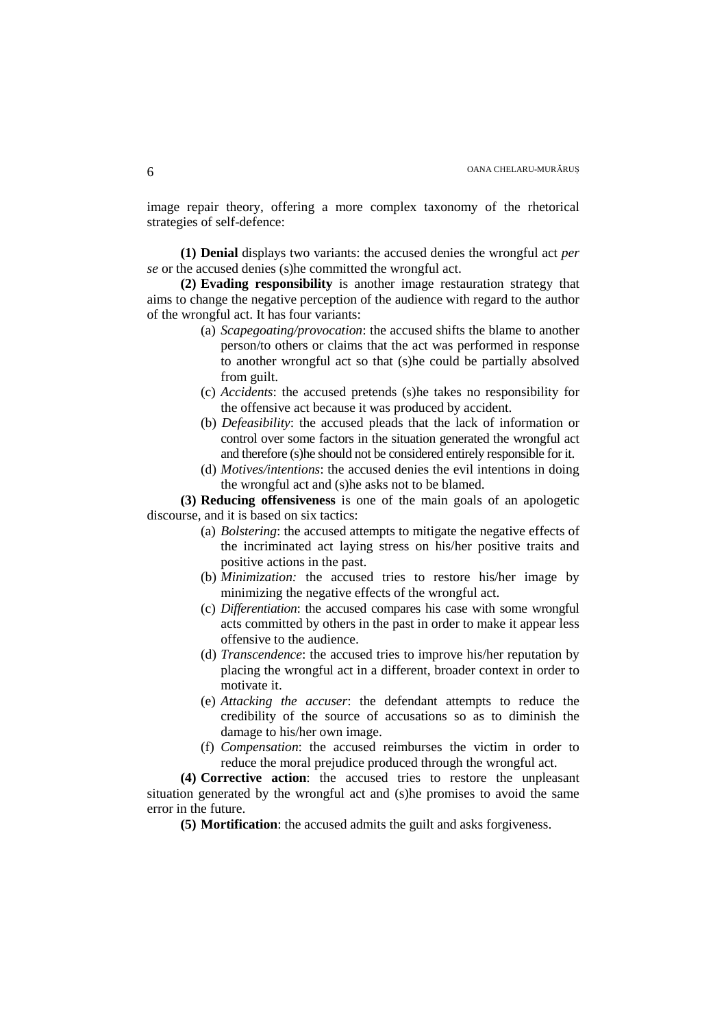image repair theory, offering a more complex taxonomy of the rhetorical strategies of self-defence:

**(1) Denial** displays two variants: the accused denies the wrongful act *per se* or the accused denies (s)he committed the wrongful act.

**(2) Evading responsibility** is another image restauration strategy that aims to change the negative perception of the audience with regard to the author of the wrongful act. It has four variants:

- (a) *Scapegoating/provocation*: the accused shifts the blame to another person/to others or claims that the act was performed in response to another wrongful act so that (s)he could be partially absolved from guilt.
- (c) *Accidents*: the accused pretends (s)he takes no responsibility for the offensive act because it was produced by accident.
- (b) *Defeasibility*: the accused pleads that the lack of information or control over some factors in the situation generated the wrongful act and therefore (s)he should not be considered entirely responsible for it.
- (d) *Motives/intentions*: the accused denies the evil intentions in doing the wrongful act and (s)he asks not to be blamed.

**(3) Reducing offensiveness** is one of the main goals of an apologetic discourse, and it is based on six tactics:

- (a) *Bolstering*: the accused attempts to mitigate the negative effects of the incriminated act laying stress on his/her positive traits and positive actions in the past.
- (b) *Minimization:* the accused tries to restore his/her image by minimizing the negative effects of the wrongful act.
- (c) *Differentiation*: the accused compares his case with some wrongful acts committed by others in the past in order to make it appear less offensive to the audience.
- (d) *Transcendence*: the accused tries to improve his/her reputation by placing the wrongful act in a different, broader context in order to motivate it.
- (e) *Attacking the accuser*: the defendant attempts to reduce the credibility of the source of accusations so as to diminish the damage to his/her own image.
- (f) *Compensation*: the accused reimburses the victim in order to reduce the moral prejudice produced through the wrongful act.

**(4) Corrective action**: the accused tries to restore the unpleasant situation generated by the wrongful act and (s)he promises to avoid the same error in the future.

**(5) Mortification**: the accused admits the guilt and asks forgiveness.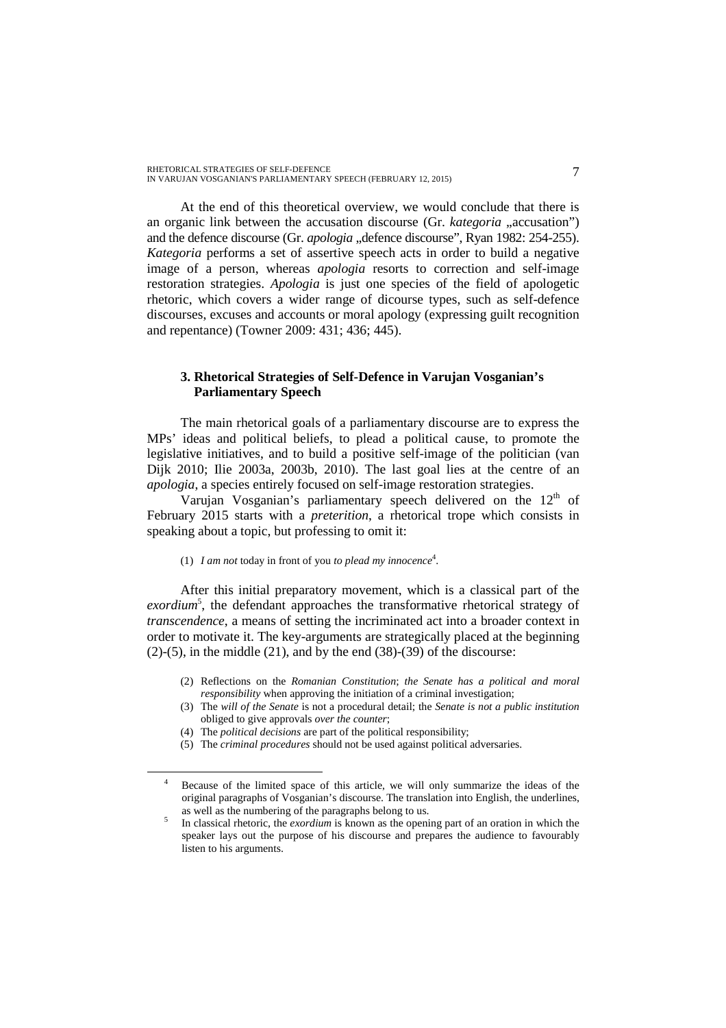At the end of this theoretical overview, we would conclude that there is an organic link between the accusation discourse (Gr. *kategoria* ..accusation") and the defence discourse (Gr. *apologia* "defence discourse", Ryan 1982: 254-255). *Kategoria* performs a set of assertive speech acts in order to build a negative image of a person, whereas *apologia* resorts to correction and self-image restoration strategies. *Apologia* is just one species of the field of apologetic rhetoric, which covers a wider range of dicourse types, such as self-defence discourses, excuses and accounts or moral apology (expressing guilt recognition and repentance) (Towner 2009: 431; 436; 445).

# **3. Rhetorical Strategies of Self-Defence in Varujan Vosganian's Parliamentary Speech**

The main rhetorical goals of a parliamentary discourse are to express the MPs' ideas and political beliefs, to plead a political cause, to promote the legislative initiatives, and to build a positive self-image of the politician (van Dijk 2010; Ilie 2003a, 2003b, 2010). The last goal lies at the centre of an *apologia*, a species entirely focused on self-image restoration strategies.

Varujan Vosganian's parliamentary speech delivered on the 12<sup>th</sup> of February 2015 starts with a *preterition*, a rhetorical trope which consists in speaking about a topic, but professing to omit it:

## (1)  $I$  *am not* today in front of you *to plead my innocence*<sup>4</sup>.

After this initial preparatory movement, which is a classical part of the exordium<sup>5</sup>, the defendant approaches the transformative rhetorical strategy of *transcendence*, a means of setting the incriminated act into a broader context in order to motivate it. The key-arguments are strategically placed at the beginning  $(2)-(5)$ , in the middle  $(21)$ , and by the end  $(38)-(39)$  of the discourse:

- (2) Reflections on the *Romanian Constitution*; *the Senate has a political and moral responsibility* when approving the initiation of a criminal investigation;
- (3) The *will of the Senate* is not a procedural detail; the *Senate is not a public institution*  obliged to give approvals *over the counter*;
- (4) The *political decisions* are part of the political responsibility;

 $\overline{a}$ 

(5) The *criminal procedures* should not be used against political adversaries.

<sup>4</sup> Because of the limited space of this article, we will only summarize the ideas of the original paragraphs of Vosganian's discourse. The translation into English, the underlines, as well as the numbering of the paragraphs belong to us.

<sup>5</sup> In classical rhetoric, the *exordium* is known as the opening part of an oration in which the speaker lays out the purpose of his discourse and prepares the audience to favourably listen to his arguments.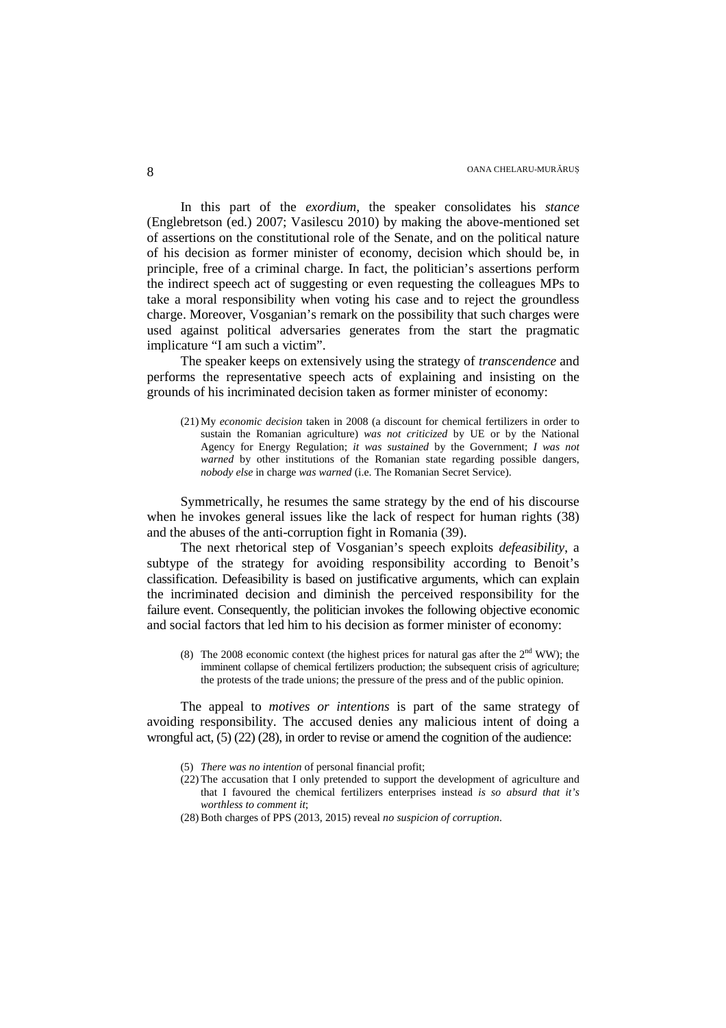In this part of the *exordium*, the speaker consolidates his *stance* (Englebretson (ed.) 2007; Vasilescu 2010) by making the above-mentioned set of assertions on the constitutional role of the Senate, and on the political nature of his decision as former minister of economy, decision which should be, in principle, free of a criminal charge. In fact, the politician's assertions perform the indirect speech act of suggesting or even requesting the colleagues MPs to take a moral responsibility when voting his case and to reject the groundless charge. Moreover, Vosganian's remark on the possibility that such charges were used against political adversaries generates from the start the pragmatic implicature "I am such a victim".

The speaker keeps on extensively using the strategy of *transcendence* and performs the representative speech acts of explaining and insisting on the grounds of his incriminated decision taken as former minister of economy:

(21) My *economic decision* taken in 2008 (a discount for chemical fertilizers in order to sustain the Romanian agriculture) *was not criticized* by UE or by the National Agency for Energy Regulation; *it was sustained* by the Government; *I was not warned* by other institutions of the Romanian state regarding possible dangers, *nobody else* in charge *was warned* (i.e. The Romanian Secret Service).

Symmetrically, he resumes the same strategy by the end of his discourse when he invokes general issues like the lack of respect for human rights (38) and the abuses of the anti-corruption fight in Romania (39).

The next rhetorical step of Vosganian's speech exploits *defeasibility*, a subtype of the strategy for avoiding responsibility according to Benoit's classification. Defeasibility is based on justificative arguments, which can explain the incriminated decision and diminish the perceived responsibility for the failure event. Consequently, the politician invokes the following objective economic and social factors that led him to his decision as former minister of economy:

(8) The 2008 economic context (the highest prices for natural gas after the  $2<sup>nd</sup> WW$ ); the imminent collapse of chemical fertilizers production; the subsequent crisis of agriculture; the protests of the trade unions; the pressure of the press and of the public opinion.

The appeal to *motives or intentions* is part of the same strategy of avoiding responsibility. The accused denies any malicious intent of doing a wrongful act,  $(5)$   $(22)$   $(28)$ , in order to revise or amend the cognition of the audience:

- (5) *There was no intention* of personal financial profit;
- (22) The accusation that I only pretended to support the development of agriculture and that I favoured the chemical fertilizers enterprises instead *is so absurd that it's worthless to comment it*;
- (28) Both charges of PPS (2013, 2015) reveal *no suspicion of corruption*.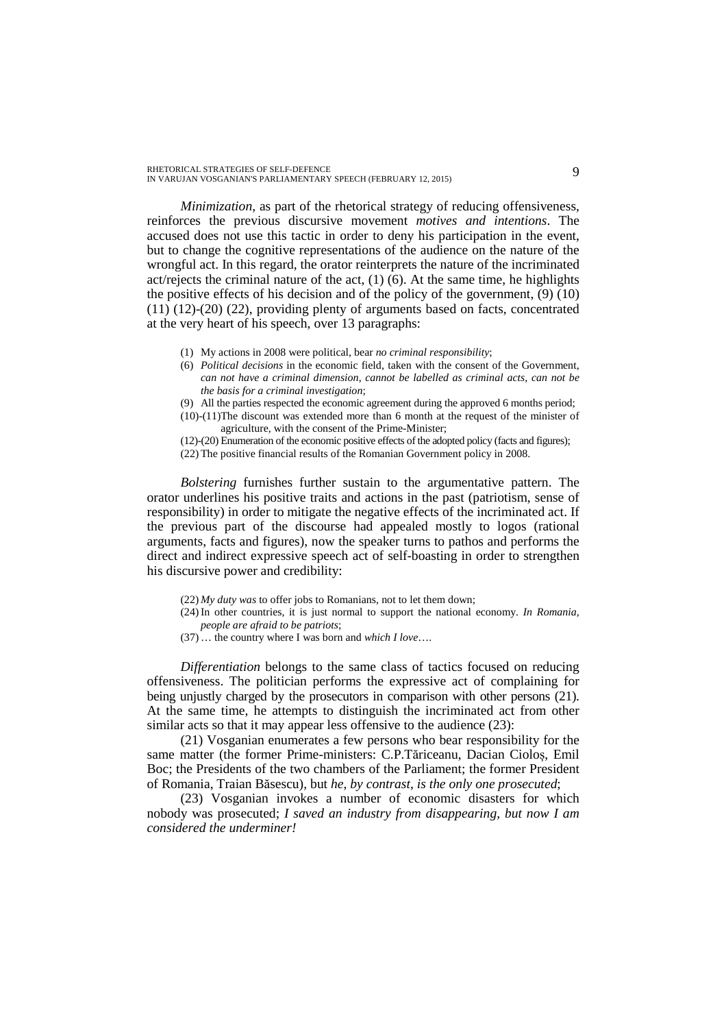*Minimization*, as part of the rhetorical strategy of reducing offensiveness, reinforces the previous discursive movement *motives and intentions*. The accused does not use this tactic in order to deny his participation in the event, but to change the cognitive representations of the audience on the nature of the wrongful act. In this regard, the orator reinterprets the nature of the incriminated act/rejects the criminal nature of the act,  $(1)$  (6). At the same time, he highlights the positive effects of his decision and of the policy of the government, (9) (10) (11) (12)-(20) (22), providing plenty of arguments based on facts, concentrated at the very heart of his speech, over 13 paragraphs:

- (1) My actions in 2008 were political, bear *no criminal responsibility*;
- (6) *Political decisions* in the economic field, taken with the consent of the Government, *can not have a criminal dimension*, *cannot be labelled as criminal acts, can not be the basis for a criminal investigation*;
- (9) All the parties respected the economic agreement during the approved 6 months period;
- (10)-(11)The discount was extended more than 6 month at the request of the minister of agriculture, with the consent of the Prime-Minister;

(12)-(20) Enumeration of the economic positive effects of the adopted policy (facts and figures); (22) The positive financial results of the Romanian Government policy in 2008.

*Bolstering* furnishes further sustain to the argumentative pattern. The orator underlines his positive traits and actions in the past (patriotism, sense of responsibility) in order to mitigate the negative effects of the incriminated act. If the previous part of the discourse had appealed mostly to logos (rational arguments, facts and figures), now the speaker turns to pathos and performs the direct and indirect expressive speech act of self-boasting in order to strengthen his discursive power and credibility:

- (22) *My duty was* to offer jobs to Romanians, not to let them down;
- (24) In other countries, it is just normal to support the national economy. *In Romania, people are afraid to be patriots*;
- (37) … the country where I was born and *which I love*….

*Differentiation* belongs to the same class of tactics focused on reducing offensiveness. The politician performs the expressive act of complaining for being unjustly charged by the prosecutors in comparison with other persons (21). At the same time, he attempts to distinguish the incriminated act from other similar acts so that it may appear less offensive to the audience  $(23)$ :

(21) Vosganian enumerates a few persons who bear responsibility for the same matter (the former Prime-ministers: C.P.Tăriceanu, Dacian Cioloș, Emil Boc; the Presidents of the two chambers of the Parliament; the former President of Romania, Traian Băsescu), but *he*, *by contrast*, *is the only one prosecuted*;

(23) Vosganian invokes a number of economic disasters for which nobody was prosecuted; *I saved an industry from disappearing, but now I am considered the underminer!*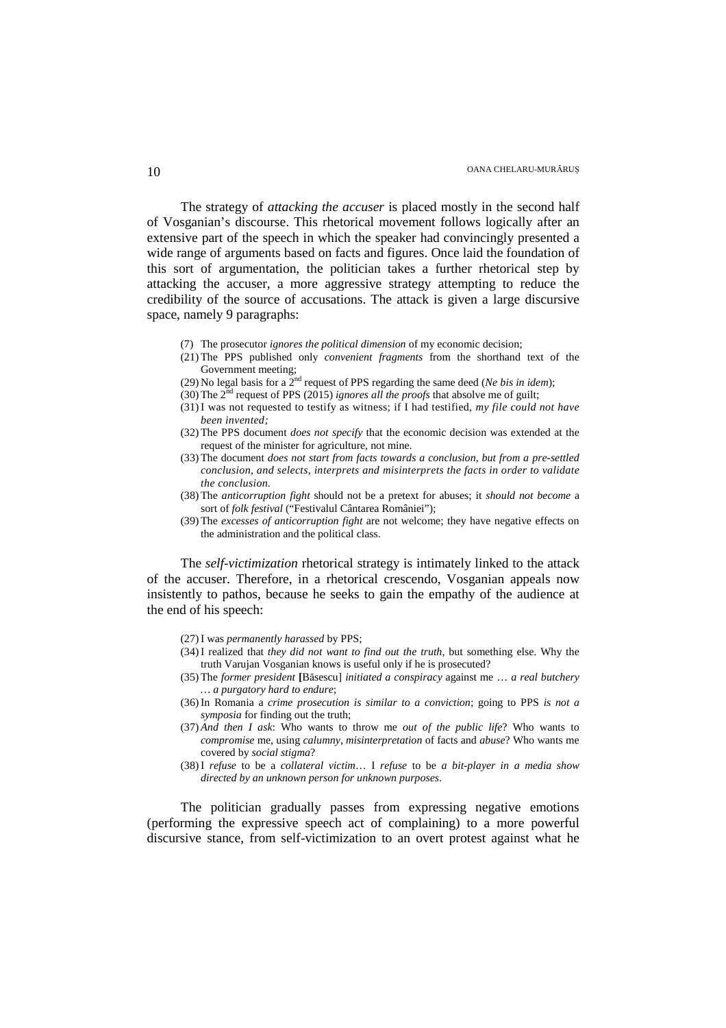The strategy of *attacking the accuser* is placed mostly in the second half of Vosganian's discourse. This rhetorical movement follows logically after an extensive part of the speech in which the speaker had convincingly presented a wide range of arguments based on facts and figures. Once laid the foundation of this sort of argumentation, the politician takes a further rhetorical step by attacking the accuser, a more aggressive strategy attempting to reduce the credibility of the source of accusations. The attack is given a large discursive space, namely 9 paragraphs:

- (7) The prosecutor *ignores the political dimension* of my economic decision;
- (21) The PPS published only *convenient fragments* from the shorthand text of the Government meeting;
- (29) No legal basis for a  $2<sup>nd</sup>$  request of PPS regarding the same deed (*Ne bis in idem*);
- (30) The 2nd request of PPS (2015) *ignores all the proofs* that absolve me of guilt;
- (31) I was not requested to testify as witness; if I had testified, *my file could not have been invented;*
- (32) The PPS document *does not specify* that the economic decision was extended at the request of the minister for agriculture, not mine.
- (33) The document *does not start from facts towards a conclusion, but from a pre-settled conclusion, and selects, interprets and misinterprets the facts in order to validate the conclusion.*
- (38) The *anticorruption fight* should not be a pretext for abuses; it *should not become* a sort of *folk festival* ("Festivalul Cântarea României");
- (39) The *excesses of anticorruption fight* are not welcome; they have negative effects on the administration and the political class.

The *self-victimization* rhetorical strategy is intimately linked to the attack of the accuser. Therefore, in a rhetorical crescendo, Vosganian appeals now insistently to pathos, because he seeks to gain the empathy of the audience at the end of his speech:

- (27)I was *permanently harassed* by PPS;
- (34)I realized that *they did not want to find out the truth*, but something else. Why the truth Varujan Vosganian knows is useful only if he is prosecuted?
- (35) The *former president* **[**Băsescu] *initiated a conspiracy* against me … *a real butchery … a purgatory hard to endure*;
- (36)In Romania a *crime prosecution is similar to a conviction*; going to PPS *is not a symposia* for finding out the truth;
- (37) *And then I ask*: Who wants to throw me *out of the public life*? Who wants to *compromise* me, using *calumny*, *misinterpretation* of facts and *abuse*? Who wants me covered by *social stigma*?
- (38) I *refuse* to be a *collateral victim*… I *refuse* to be *a bit-player in a media show directed by an unknown person for unknown purposes*.

The politician gradually passes from expressing negative emotions (performing the expressive speech act of complaining) to a more powerful discursive stance, from self-victimization to an overt protest against what he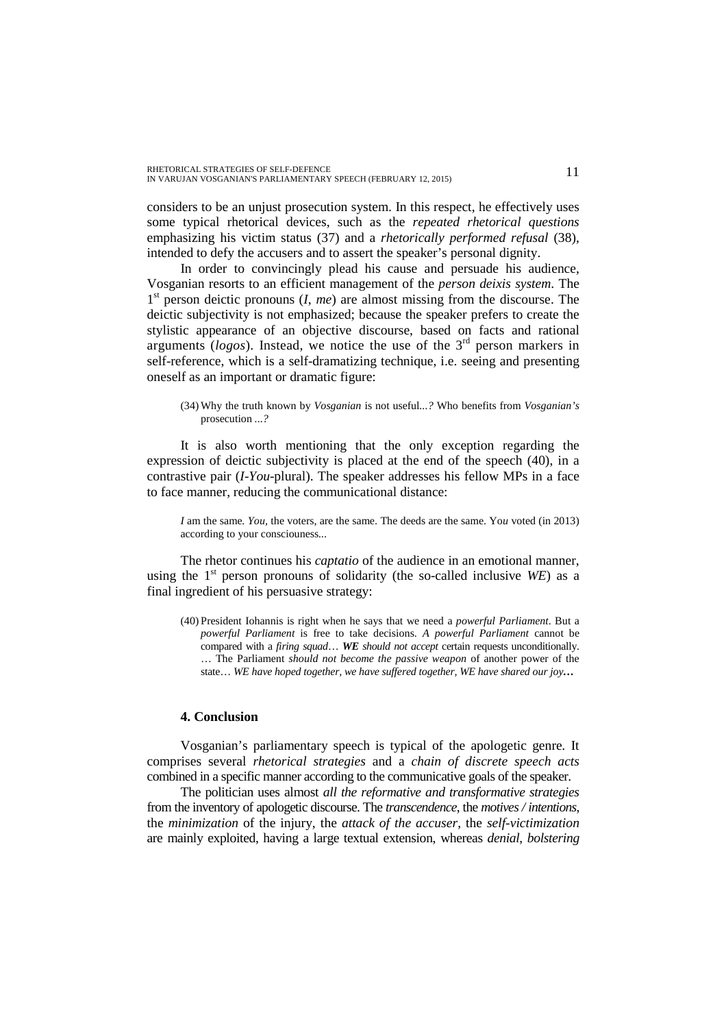considers to be an unjust prosecution system. In this respect, he effectively uses some typical rhetorical devices, such as the *repeated rhetorical questions* emphasizing his victim status (37) and a *rhetorically performed refusal* (38), intended to defy the accusers and to assert the speaker's personal dignity.

In order to convincingly plead his cause and persuade his audience, Vosganian resorts to an efficient management of the *person deixis system*. The 1<sup>st</sup> person deictic pronouns (*I*, *me*) are almost missing from the discourse. The deictic subjectivity is not emphasized; because the speaker prefers to create the stylistic appearance of an objective discourse, based on facts and rational arguments ( $logos$ ). Instead, we notice the use of the  $3<sup>rd</sup>$  person markers in self-reference, which is a self-dramatizing technique, i.e. seeing and presenting oneself as an important or dramatic figure:

(34) Why the truth known by *Vosganian* is not useful*...?* Who benefits from *Vosganian's*  prosecution *...?*

It is also worth mentioning that the only exception regarding the expression of deictic subjectivity is placed at the end of the speech (40), in a contrastive pair (*I-You*-plural). The speaker addresses his fellow MPs in a face to face manner, reducing the communicational distance:

*I* am the same*. You,* the voters, are the same. The deeds are the same. Yo*u* voted (in 2013) according to your consciouness*...*

The rhetor continues his *captatio* of the audience in an emotional manner, using the  $1<sup>st</sup>$  person pronouns of solidarity (the so-called inclusive *WE*) as a final ingredient of his persuasive strategy:

(40) President Iohannis is right when he says that we need a *powerful Parliament*. But a *powerful Parliament* is free to take decisions. *A powerful Parliament* cannot be compared with a *firing squad*… *WE should not accept* certain requests unconditionally. … The Parliament *should not become the passive weapon* of another power of the state… *WE have hoped together, we have suffered together, WE have shared our joy…*

# **4. Conclusion**

Vosganian's parliamentary speech is typical of the apologetic genre*.* It comprises several *rhetorical strategies* and a *chain of discrete speech acts* combined in a specific manner according to the communicative goals of the speaker.

The politician uses almost *all the reformative and transformative strategies* from the inventory of apologetic discourse. The *transcendence*, the *motives / intentions*, the *minimization* of the injury, the *attack of the accuser*, the *self-victimization*  are mainly exploited, having a large textual extension, whereas *denial*, *bolstering*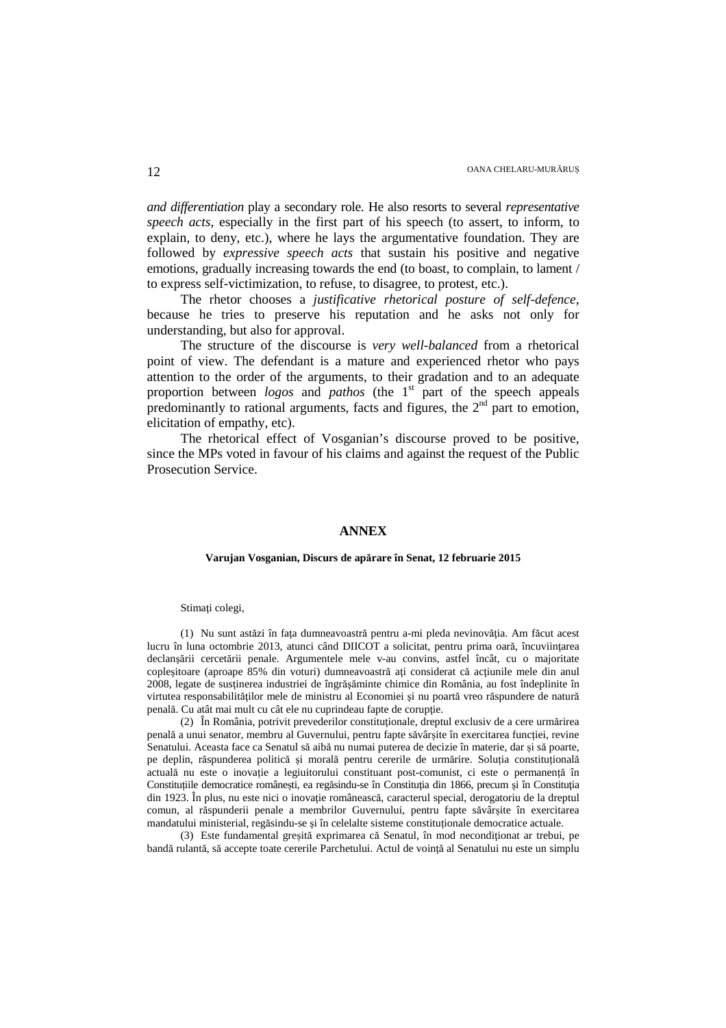*and differentiation* play a secondary role. He also resorts to several *representative speech acts*, especially in the first part of his speech (to assert, to inform, to explain, to deny, etc.), where he lays the argumentative foundation. They are followed by *expressive speech acts* that sustain his positive and negative emotions, gradually increasing towards the end (to boast, to complain, to lament / to express self-victimization, to refuse, to disagree, to protest, etc.).

The rhetor chooses a *justificative rhetorical posture of self-defence*, because he tries to preserve his reputation and he asks not only for understanding, but also for approval.

The structure of the discourse is *very well-balanced* from a rhetorical point of view. The defendant is a mature and experienced rhetor who pays attention to the order of the arguments, to their gradation and to an adequate proportion between *logos* and *pathos* (the 1<sup>st</sup> part of the speech appeals predominantly to rational arguments, facts and figures, the  $2<sup>nd</sup>$  part to emotion, elicitation of empathy, etc).

The rhetorical effect of Vosganian's discourse proved to be positive, since the MPs voted in favour of his claims and against the request of the Public Prosecution Service.

### **ANNEX**

### **Varujan Vosganian, Discurs de apărare în Senat, 12 februarie 2015**

#### Stimaţi colegi,

(1) Nu sunt astăzi în faţa dumneavoastră pentru a-mi pleda nevinovăţia. Am făcut acest lucru în luna octombrie 2013, atunci când DIICOT a solicitat, pentru prima oară, încuviințarea declanşării cercetării penale. Argumentele mele v-au convins, astfel încât, cu o majoritate copleșitoare (aproape 85% din voturi) dumneavoastră ați considerat că acțiunile mele din anul 2008, legate de susţinerea industriei de îngrăşăminte chimice din România, au fost îndeplinite în virtutea responsabilităților mele de ministru al Economiei și nu poartă vreo răspundere de natură penală. Cu atât mai mult cu cât ele nu cuprindeau fapte de corupţie.

(2) În România, potrivit prevederilor constituţionale, dreptul exclusiv de a cere urmărirea penală a unui senator, membru al Guvernului, pentru fapte săvârșite în exercitarea funcției, revine Senatului. Aceasta face ca Senatul să aibă nu numai puterea de decizie în materie, dar și să poarte, pe deplin, răspunderea politică și morală pentru cererile de urmărire. Soluția constituțională actuală nu este o inovație a legiuitorului constituant post-comunist, ci este o permanență în Constituțiile democratice românești, ea regăsindu-se în Constituţia din 1866, precum şi în Constituţia din 1923. În plus, nu este nici o inovație românească, caracterul special, derogatoriu de la dreptul comun, al răspunderii penale a membrilor Guvernului, pentru fapte săvârșite în exercitarea mandatului ministerial, regăsindu-se şi în celelalte sisteme constituționale democratice actuale.

(3) Este fundamental greșită exprimarea că Senatul, în mod neconditionat ar trebui, pe bandă rulantă, să accepte toate cererile Parchetului. Actul de voinţă al Senatului nu este un simplu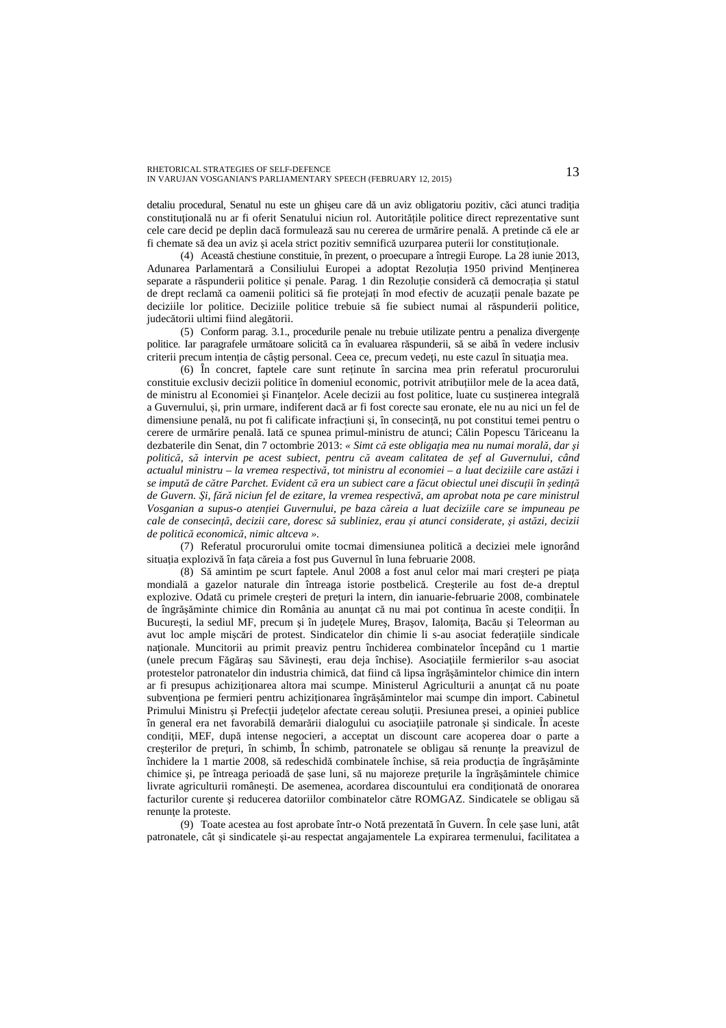detaliu procedural, Senatul nu este un ghişeu care dă un aviz obligatoriu pozitiv, căci atunci tradiţia constituţională nu ar fi oferit Senatului niciun rol. Autoritățile politice direct reprezentative sunt cele care decid pe deplin dacă formulează sau nu cererea de urmărire penală. A pretinde că ele ar fi chemate să dea un aviz şi acela strict pozitiv semnifică uzurparea puterii lor constituționale.

(4) Această chestiune constituie, în prezent, o proecupare a întregii Europe. La 28 iunie 2013, Adunarea Parlamentară a Consiliului Europei a adoptat Rezoluția 1950 privind Menținerea separate a răspunderii politice și penale. Parag. 1 din Rezoluție consideră că democrația și statul de drept reclamă ca oamenii politici să fie protejați în mod efectiv de acuzații penale bazate pe deciziile lor politice. Deciziile politice trebuie să fie subiect numai al răspunderii politice, judecătorii ultimi fiind alegătorii.

(5) Conform parag. 3.1., procedurile penale nu trebuie utilizate pentru a penaliza divergențe politice. Iar paragrafele următoare solicită ca în evaluarea răspunderii, să se aibă în vedere inclusiv criterii precum intenția de câștig personal. Ceea ce, precum vedeți, nu este cazul în situația mea.

(6) În concret, faptele care sunt reținute în sarcina mea prin referatul procurorului constituie exclusiv decizii politice în domeniul economic, potrivit atribuțiilor mele de la acea dată, de ministru al Economiei și Finanțelor. Acele decizii au fost politice, luate cu susținerea integrală a Guvernului, și, prin urmare, indiferent dacă ar fi fost corecte sau eronate, ele nu au nici un fel de dimensiune penală, nu pot fi calificate infracțiuni și, în consecință, nu pot constitui temei pentru o cerere de urmărire penală. Iată ce spunea primul-ministru de atunci; Călin Popescu Tăriceanu la dezbaterile din Senat, din 7 octombrie 2013: *« Simt că este obligaţia mea nu numai morală, dar şi politică, să intervin pe acest subiect, pentru că aveam calitatea de şef al Guvernului, când actualul ministru – la vremea respectivă, tot ministru al economiei – a luat deciziile care astăzi i se impută de către Parchet. Evident că era un subiect care a făcut obiectul unei discuţii în şedinţă de Guvern. Şi, fără niciun fel de ezitare, la vremea respectivă, am aprobat nota pe care ministrul Vosganian a supus-o atenţiei Guvernului, pe baza căreia a luat deciziile care se impuneau pe cale de consecinţă, decizii care, doresc să subliniez, erau şi atunci considerate, şi astăzi, decizii de politică economică, nimic altceva ».*

(7) Referatul procurorului omite tocmai dimensiunea politică a deciziei mele ignorând situația explozivă în fața căreia a fost pus Guvernul în luna februarie 2008.

(8) Să amintim pe scurt faptele. Anul 2008 a fost anul celor mai mari creşteri pe piaţa mondială a gazelor naturale din întreaga istorie postbelică. Creşterile au fost de-a dreptul explozive. Odată cu primele creșteri de preturi la intern, din ianuarie-februarie 2008, combinatele de îngrăsăminte chimice din România au anuntat că nu mai pot continua în aceste condiții. În Bucureşti, la sediul MF, precum şi în judeţele Mureş, Braşov, Ialomiţa, Bacău şi Teleorman au avut loc ample mişcări de protest. Sindicatelor din chimie li s-au asociat federaţiile sindicale naţionale. Muncitorii au primit preaviz pentru închiderea combinatelor începând cu 1 martie (unele precum Făgăraş sau Săvineşti, erau deja închise). Asociaţiile fermierilor s-au asociat protestelor patronatelor din industria chimică, dat fiind că lipsa îngrăşămintelor chimice din intern ar fi presupus achizitionarea altora mai scumpe. Ministerul Agriculturii a anuntat că nu poate subvenționa pe fermieri pentru achiziționarea îngrășămintelor mai scumpe din import. Cabinetul Primului Ministru și Prefecții județelor afectate cereau soluții. Presiunea presei, a opiniei publice în general era net favorabilă demarării dialogului cu asociaţiile patronale şi sindicale. În aceste condiții, MEF, după intense negocieri, a acceptat un discount care acoperea doar o parte a creșterilor de prețuri, în schimb, În schimb, patronatele se obligau să renunțe la preavizul de închidere la 1 martie 2008, să redeschidă combinatele închise, să reia producția de îngrășăminte chimice şi, pe întreaga perioadă de şase luni, să nu majoreze preţurile la îngrăşămintele chimice livrate agriculturii româneşti. De asemenea, acordarea discountului era condiţionată de onorarea facturilor curente şi reducerea datoriilor combinatelor către ROMGAZ. Sindicatele se obligau să renunte la proteste.

(9) Toate acestea au fost aprobate într-o Notă prezentată în Guvern. În cele şase luni, atât patronatele, cât şi sindicatele şi-au respectat angajamentele La expirarea termenului, facilitatea a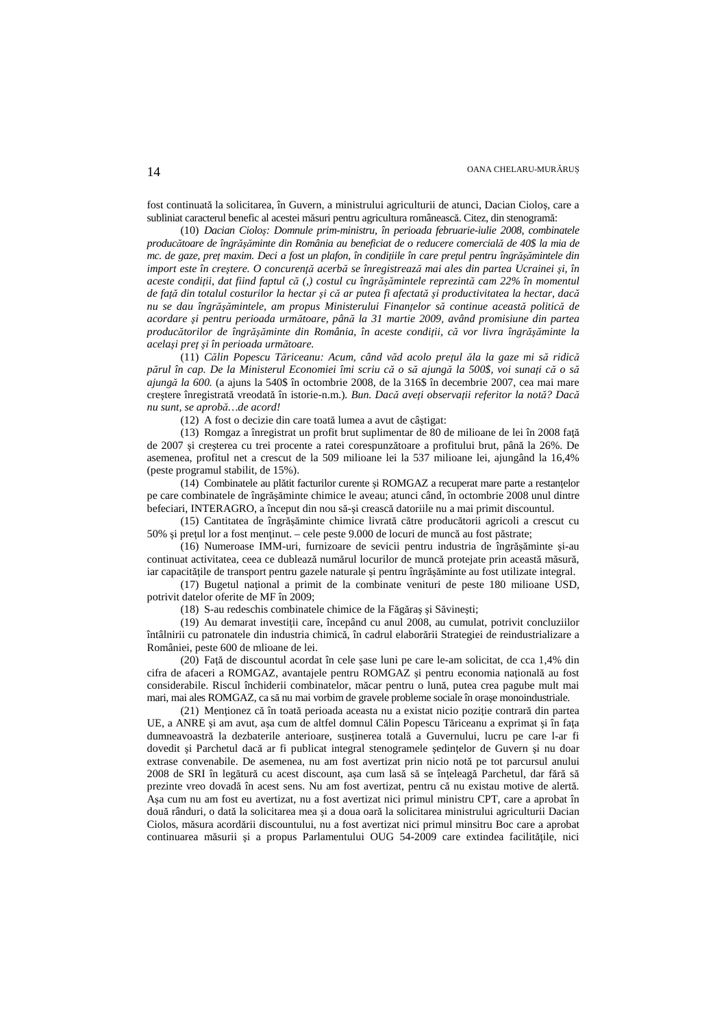fost continuată la solicitarea, în Guvern, a ministrului agriculturii de atunci, Dacian Cioloş, care a subliniat caracterul benefic al acestei măsuri pentru agricultura românească. Citez, din stenogramă:

(10) *Dacian Cioloş: Domnule prim-ministru, în perioada februarie-iulie 2008, combinatele producătoare de îngrăşăminte din România au beneficiat de o reducere comercială de 40\$ la mia de mc. de gaze, preţ maxim. Deci a fost un plafon, în condiţiile în care preţul pentru îngrăşămintele din import este în creştere. O concurenţă acerbă se înregistrează mai ales din partea Ucrainei şi, în aceste condiţii, dat fiind faptul că (,) costul cu îngrăşămintele reprezintă cam 22% în momentul de faţă din totalul costurilor la hectar şi că ar putea fi afectată şi productivitatea la hectar, dacă nu se dau îngrăşămintele, am propus Ministerului Finanţelor să continue această politică de acordare şi pentru perioada următoare, până la 31 martie 2009, având promisiune din partea producătorilor de îngrăşăminte din România, în aceste condiţii, că vor livra îngrăşăminte la acelaşi preţ şi în perioada următoare.*

(11) *Călin Popescu Tăriceanu: Acum, când văd acolo preţul ăla la gaze mi să ridică părul în cap. De la Ministerul Economiei îmi scriu că o să ajungă la 500\$, voi sunaţi că o să ajungă la 600.* (a ajuns la 540\$ în octombrie 2008, de la 316\$ în decembrie 2007, cea mai mare creştere înregistrată vreodată în istorie-n.m.)*. Bun. Dacă aveţi observaţii referitor la notă? Dacă nu sunt, se aprobă…de acord!*

(12) A fost o decizie din care toată lumea a avut de câştigat:

(13) Romgaz a înregistrat un profit brut suplimentar de 80 de milioane de lei în 2008 fată de 2007 şi creşterea cu trei procente a ratei corespunzătoare a profitului brut, până la 26%. De asemenea, profitul net a crescut de la 509 milioane lei la 537 milioane lei, ajungând la 16,4% (peste programul stabilit, de 15%).

(14) Combinatele au plătit facturilor curente și ROMGAZ a recuperat mare parte a restantelor pe care combinatele de îngrăşăminte chimice le aveau; atunci când, în octombrie 2008 unul dintre befeciari, INTERAGRO, a început din nou să-şi crească datoriile nu a mai primit discountul.

(15) Cantitatea de îngrăşăminte chimice livrată către producătorii agricoli a crescut cu 50% şi preţul lor a fost menţinut. – cele peste 9.000 de locuri de muncă au fost păstrate;

(16) Numeroase IMM-uri, furnizoare de sevicii pentru industria de îngrăşăminte şi-au continuat activitatea, ceea ce dublează numărul locurilor de muncă protejate prin această măsură, iar capacităţile de transport pentru gazele naturale şi pentru îngrăşăminte au fost utilizate integral.

(17) Bugetul naţional a primit de la combinate venituri de peste 180 milioane USD, potrivit datelor oferite de MF în 2009;

(18) S-au redeschis combinatele chimice de la Făgăraş şi Săvineşti;

(19) Au demarat investiţii care, începând cu anul 2008, au cumulat, potrivit concluziilor întâlnirii cu patronatele din industria chimică, în cadrul elaborării Strategiei de reindustrializare a României, peste 600 de mlioane de lei.

(20) Faţă de discountul acordat în cele şase luni pe care le-am solicitat, de cca 1,4% din cifra de afaceri a ROMGAZ, avantajele pentru ROMGAZ și pentru economia națională au fost considerabile. Riscul închiderii combinatelor, măcar pentru o lună, putea crea pagube mult mai mari, mai ales ROMGAZ, ca să nu mai vorbim de gravele probleme sociale în oraşe monoindustriale.

(21) Menţionez că în toată perioada aceasta nu a existat nicio poziţie contrară din partea UE, a ANRE și am avut, asa cum de altfel domnul Călin Popescu Tăriceanu a exprimat și în fața dumneavoastră la dezbaterile anterioare, susţinerea totală a Guvernului, lucru pe care l-ar fi dovedit şi Parchetul dacă ar fi publicat integral stenogramele şedinţelor de Guvern şi nu doar extrase convenabile. De asemenea, nu am fost avertizat prin nicio notă pe tot parcursul anului 2008 de SRI în legătură cu acest discount, aşa cum lasă să se înţeleagă Parchetul, dar fără să prezinte vreo dovadă în acest sens. Nu am fost avertizat, pentru că nu existau motive de alertă. Aşa cum nu am fost eu avertizat, nu a fost avertizat nici primul ministru CPT, care a aprobat în două rânduri, o dată la solicitarea mea şi a doua oară la solicitarea ministrului agriculturii Dacian Ciolos, măsura acordării discountului, nu a fost avertizat nici primul minsitru Boc care a aprobat continuarea măsurii și a propus Parlamentului OUG 54-2009 care extindea facilitățile, nici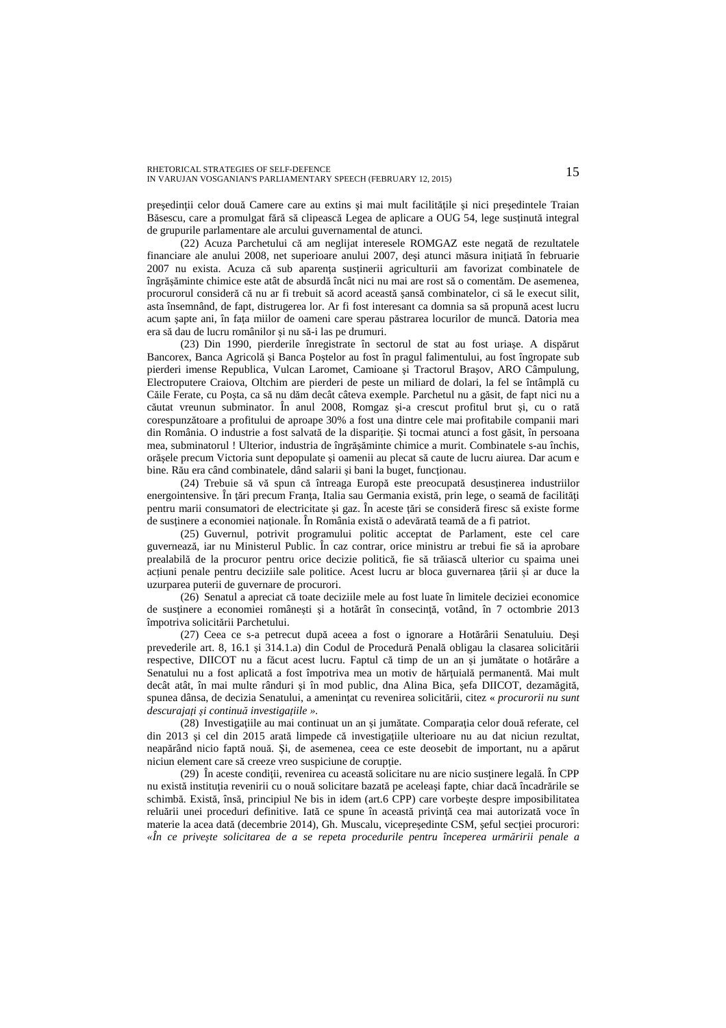președinții celor două Camere care au extins și mai mult facilitățile și nici președintele Traian Băsescu, care a promulgat fără să clipească Legea de aplicare a OUG 54, lege susţinută integral de grupurile parlamentare ale arcului guvernamental de atunci.

(22) Acuza Parchetului că am neglijat interesele ROMGAZ este negată de rezultatele financiare ale anului 2008, net superioare anului 2007, deşi atunci măsura iniţiată în februarie 2007 nu exista. Acuza că sub aparenţa susţinerii agriculturii am favorizat combinatele de îngrăşăminte chimice este atât de absurdă încât nici nu mai are rost să o comentăm. De asemenea, procurorul consideră că nu ar fi trebuit să acord această şansă combinatelor, ci să le execut silit, asta însemnând, de fapt, distrugerea lor. Ar fi fost interesant ca domnia sa să propună acest lucru acum şapte ani, în faţa miilor de oameni care sperau păstrarea locurilor de muncă. Datoria mea era să dau de lucru românilor şi nu să-i las pe drumuri.

(23) Din 1990, pierderile înregistrate în sectorul de stat au fost uriaşe. A dispărut Bancorex, Banca Agricolă şi Banca Poştelor au fost în pragul falimentului, au fost îngropate sub pierderi imense Republica, Vulcan Laromet, Camioane şi Tractorul Braşov, ARO Câmpulung, Electroputere Craiova, Oltchim are pierderi de peste un miliard de dolari, la fel se întâmplă cu Căile Ferate, cu Poşta, ca să nu dăm decât câteva exemple. Parchetul nu a găsit, de fapt nici nu a căutat vreunun subminator. În anul 2008, Romgaz şi-a crescut profitul brut şi, cu o rată corespunzătoare a profitului de aproape 30% a fost una dintre cele mai profitabile companii mari din România. O industrie a fost salvată de la dispariţie. Şi tocmai atunci a fost găsit, în persoana mea, subminatorul ! Ulterior, industria de îngrăşăminte chimice a murit. Combinatele s-au închis, orăşele precum Victoria sunt depopulate şi oamenii au plecat să caute de lucru aiurea. Dar acum e bine. Rău era când combinatele, dând salarii şi bani la buget, funcţionau.

 $(24)$  Trebuie să vă spun că întreaga Europă este preocupată desustinerea industriilor energointensive. În ţări precum Franţa, Italia sau Germania există, prin lege, o seamă de facilităţi pentru marii consumatori de electricitate şi gaz. În aceste ţări se consideră firesc să existe forme de sustinere a economiei nationale. În România există o adevărată teamă de a fi patriot.

(25) Guvernul, potrivit programului politic acceptat de Parlament, este cel care guvernează, iar nu Ministerul Public. În caz contrar, orice ministru ar trebui fie să ia aprobare prealabilă de la procuror pentru orice decizie politică, fie să trăiască ulterior cu spaima unei acțiuni penale pentru deciziile sale politice. Acest lucru ar bloca guvernarea țării și ar duce la uzurparea puterii de guvernare de procurori.

(26) Senatul a apreciat că toate deciziile mele au fost luate în limitele deciziei economice de sustinere a economiei românesti și a hotărât în consecință, votând, în 7 octombrie 2013 împotriva solicitării Parchetului.

(27) Ceea ce s-a petrecut după aceea a fost o ignorare a Hotărârii Senatuluiu. Deşi prevederile art. 8, 16.1 şi 314.1.a) din Codul de Procedură Penală obligau la clasarea solicitării respective, DIICOT nu a făcut acest lucru. Faptul că timp de un an şi jumătate o hotărâre a Senatului nu a fost aplicată a fost împotriva mea un motiv de hărţuială permanentă. Mai mult decât atât, în mai multe rânduri şi în mod public, dna Alina Bica, şefa DIICOT, dezamăgită, spunea dânsa, de decizia Senatului, a ameninţat cu revenirea solicitării, citez « *procurorii nu sunt descurajaţi şi continuă investigaţiile ».*

(28) Investigaţiile au mai continuat un an şi jumătate. Comparaţia celor două referate, cel din 2013 şi cel din 2015 arată limpede că investigaţiile ulterioare nu au dat niciun rezultat, neapărând nicio faptă nouă. Şi, de asemenea, ceea ce este deosebit de important, nu a apărut niciun element care să creeze vreo suspiciune de corupție.

(29) În aceste condiţii, revenirea cu această solicitare nu are nicio susţinere legală. În CPP nu există instituţia revenirii cu o nouă solicitare bazată pe aceleaşi fapte, chiar dacă încadrările se schimbă. Există, însă, principiul Ne bis in idem (art.6 CPP) care vorbeşte despre imposibilitatea reluării unei proceduri definitive. Iată ce spune în această privință cea mai autorizată voce în materie la acea dată (decembrie 2014), Gh. Muscalu, vicepreşedinte CSM, şeful secţiei procurori: *«În ce priveşte solicitarea de a se repeta procedurile pentru începerea urmăririi penale a*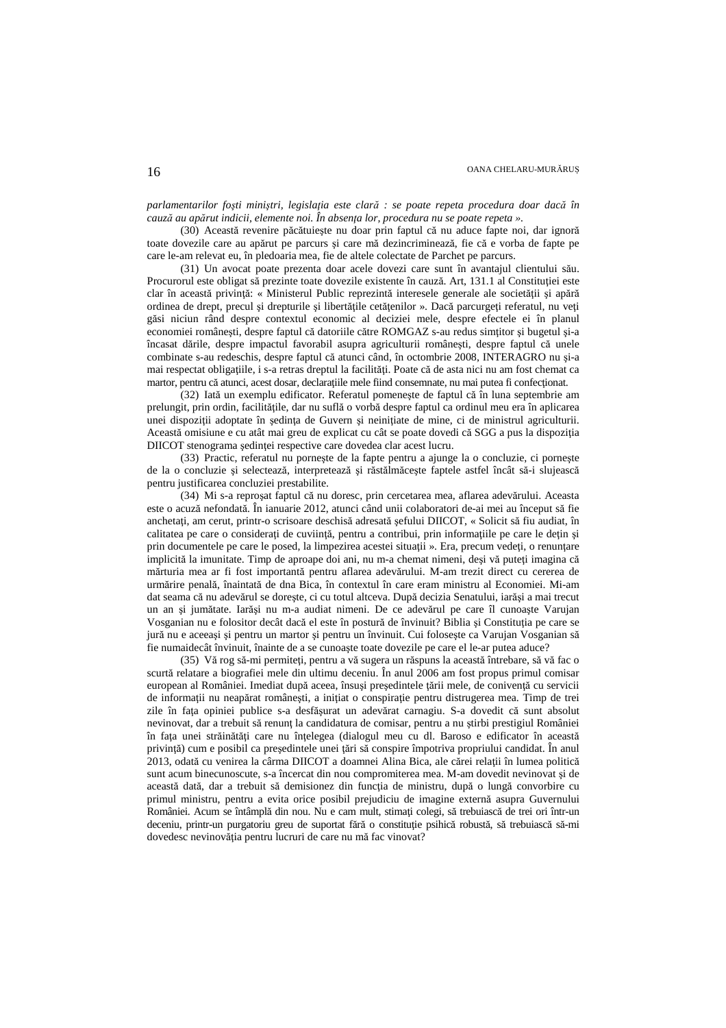*parlamentarilor foşti miniştri, legislaţia este clară : se poate repeta procedura doar dacă în cauză au apărut indicii, elemente noi. În absenţa lor, procedura nu se poate repeta ».*

(30) Această revenire păcătuieşte nu doar prin faptul că nu aduce fapte noi, dar ignoră toate dovezile care au apărut pe parcurs şi care mă dezincriminează, fie că e vorba de fapte pe care le-am relevat eu, în pledoaria mea, fie de altele colectate de Parchet pe parcurs.

(31) Un avocat poate prezenta doar acele dovezi care sunt în avantajul clientului său. Procurorul este obligat să prezinte toate dovezile existente în cauză. Art, 131.1 al Constituției este clar în această privință: « Ministerul Public reprezintă interesele generale ale societății și apără ordinea de drept, precul și drepturile și libertățile cetățenilor ». Dacă parcurgeți referatul, nu veți găsi niciun rând despre contextul economic al deciziei mele, despre efectele ei în planul economiei româneşti, despre faptul că datoriile către ROMGAZ s-au redus simţitor şi bugetul şi-a încasat dările, despre impactul favorabil asupra agriculturii româneşti, despre faptul că unele combinate s-au redeschis, despre faptul că atunci când, în octombrie 2008, INTERAGRO nu şi-a mai respectat obligațiile, i s-a retras dreptul la facilități. Poate că de asta nici nu am fost chemat ca martor, pentru că atunci, acest dosar, declaraţiile mele fiind consemnate, nu mai putea fi confecţionat.

(32) Iată un exemplu edificator. Referatul pomeneşte de faptul că în luna septembrie am prelungit, prin ordin, facilităţile, dar nu suflă o vorbă despre faptul ca ordinul meu era în aplicarea unei dispoziţii adoptate în şedinţa de Guvern şi neiniţiate de mine, ci de ministrul agriculturii. Această omisiune e cu atât mai greu de explicat cu cât se poate dovedi că SGG a pus la dispoziţia DIICOT stenograma şedinţei respective care dovedea clar acest lucru.

(33) Practic, referatul nu porneşte de la fapte pentru a ajunge la o concluzie, ci porneşte de la o concluzie şi selectează, interpretează şi răstălmăceşte faptele astfel încât să-i slujească pentru justificarea concluziei prestabilite.

(34) Mi s-a reproşat faptul că nu doresc, prin cercetarea mea, aflarea adevărului. Aceasta este o acuză nefondată. În ianuarie 2012, atunci când unii colaboratori de-ai mei au început să fie anchetați, am cerut, printr-o scrisoare deschisă adresată sefului DIICOT, « Solicit să fiu audiat, în calitatea pe care o considerați de cuviință, pentru a contribui, prin informațiile pe care le dețin și prin documentele pe care le posed, la limpezirea acestei situaţii ». Era, precum vedeţi, o renunţare implicită la imunitate. Timp de aproape doi ani, nu m-a chemat nimeni, deși vă puteți imagina că mărturia mea ar fi fost importantă pentru aflarea adevărului. M-am trezit direct cu cererea de urmărire penală, înaintată de dna Bica, în contextul în care eram ministru al Economiei. Mi-am dat seama că nu adevărul se doreşte, ci cu totul altceva. După decizia Senatului, iarăşi a mai trecut un an şi jumătate. Iarăşi nu m-a audiat nimeni. De ce adevărul pe care îl cunoaşte Varujan Vosganian nu e folositor decât dacă el este în postură de învinuit? Biblia şi Constituţia pe care se jură nu e aceeaşi şi pentru un martor şi pentru un învinuit. Cui foloseşte ca Varujan Vosganian să fie numaidecât învinuit, înainte de a se cunoaşte toate dovezile pe care el le-ar putea aduce?

(35) Vă rog să-mi permiteţi, pentru a vă sugera un răspuns la această întrebare, să vă fac o scurtă relatare a biografiei mele din ultimu deceniu. În anul 2006 am fost propus primul comisar european al României. Imediat după aceea, însusi presedintele țării mele, de conivență cu servicii de informaţii nu neapărat româneşti, a iniţiat o conspiraţie pentru distrugerea mea. Timp de trei zile în fața opiniei publice s-a desfășurat un adevărat carnagiu. S-a dovedit că sunt absolut nevinovat, dar a trebuit să renunţ la candidatura de comisar, pentru a nu ştirbi prestigiul României în faţa unei străinătăţi care nu înţelegea (dialogul meu cu dl. Baroso e edificator în această privinţă) cum e posibil ca preşedintele unei ţări să conspire împotriva propriului candidat. În anul 2013, odată cu venirea la cârma DIICOT a doamnei Alina Bica, ale cărei relaţii în lumea politică sunt acum binecunoscute, s-a încercat din nou compromiterea mea. M-am dovedit nevinovat şi de această dată, dar a trebuit să demisionez din funcția de ministru, după o lungă convorbire cu primul ministru, pentru a evita orice posibil prejudiciu de imagine externă asupra Guvernului României. Acum se întâmplă din nou. Nu e cam mult, stimaţi colegi, să trebuiască de trei ori într-un deceniu, printr-un purgatoriu greu de suportat fără o constituție psihică robustă, să trebuiască să-mi dovedesc nevinovăția pentru lucruri de care nu mă fac vinovat?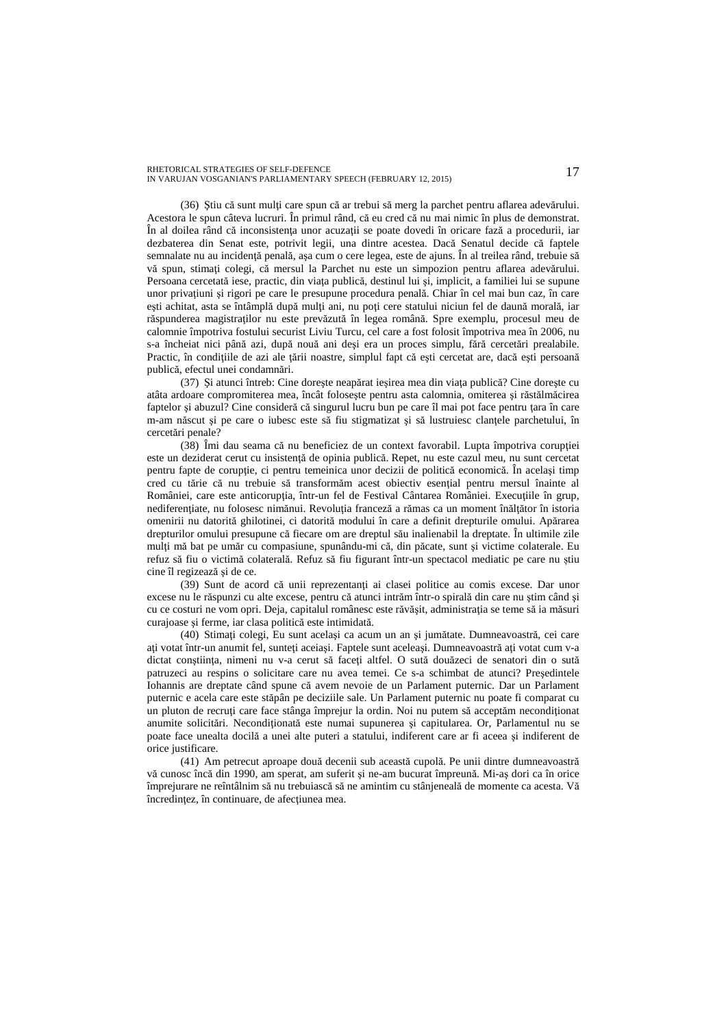(36) Ştiu că sunt mulţi care spun că ar trebui să merg la parchet pentru aflarea adevărului. Acestora le spun câteva lucruri. În primul rând, că eu cred că nu mai nimic în plus de demonstrat. În al doilea rând că inconsistenţa unor acuzaţii se poate dovedi în oricare fază a procedurii, iar dezbaterea din Senat este, potrivit legii, una dintre acestea. Dacă Senatul decide că faptele semnalate nu au incidenţă penală, aşa cum o cere legea, este de ajuns. În al treilea rând, trebuie să vă spun, stimaţi colegi, că mersul la Parchet nu este un simpozion pentru aflarea adevărului. Persoana cercetată iese, practic, din viața publică, destinul lui și, implicit, a familiei lui se supune unor privaţiuni şi rigori pe care le presupune procedura penală. Chiar în cel mai bun caz, în care ești achitat, asta se întâmplă după mulți ani, nu poți cere statului niciun fel de daună morală, iar răspunderea magistraţilor nu este prevăzută în legea română. Spre exemplu, procesul meu de calomnie împotriva fostului securist Liviu Turcu, cel care a fost folosit împotriva mea în 2006, nu s-a încheiat nici până azi, după nouă ani deşi era un proces simplu, fără cercetări prealabile. Practic, în condițiile de azi ale țării noastre, simplul fapt că esti cercetat are, dacă esti persoană publică, efectul unei condamnări.

(37) Şi atunci întreb: Cine doreşte neapărat ieşirea mea din viaţa publică? Cine doreşte cu atâta ardoare compromiterea mea, încât foloseşte pentru asta calomnia, omiterea şi răstălmăcirea faptelor şi abuzul? Cine consideră că singurul lucru bun pe care îl mai pot face pentru ţara în care m-am născut şi pe care o iubesc este să fiu stigmatizat şi să lustruiesc clanţele parchetului, în cercetări penale?

(38) Îmi dau seama că nu beneficiez de un context favorabil. Lupta împotriva corupţiei este un deziderat cerut cu insistenţă de opinia publică. Repet, nu este cazul meu, nu sunt cercetat pentru fapte de corupție, ci pentru temeinica unor decizii de politică economică. În același timp cred cu tărie că nu trebuie să transformăm acest obiectiv esential pentru mersul înainte al României, care este anticorupția, într-un fel de Festival Cântarea României. Execuțiile în grup, nediferențiate, nu folosesc nimănui. Revoluția franceză a rămas ca un moment înălțător în istoria omenirii nu datorită ghilotinei, ci datorită modului în care a definit drepturile omului. Apărarea drepturilor omului presupune că fiecare om are dreptul său inalienabil la dreptate. În ultimile zile mulţi mă bat pe umăr cu compasiune, spunându-mi că, din păcate, sunt şi victime colaterale. Eu refuz să fiu o victimă colaterală. Refuz să fiu figurant într-un spectacol mediatic pe care nu știu cine îl regizează şi de ce.

(39) Sunt de acord că unii reprezentanţi ai clasei politice au comis excese. Dar unor excese nu le răspunzi cu alte excese, pentru că atunci intrăm într-o spirală din care nu știm când și cu ce costuri ne vom opri. Deja, capitalul românesc este răvășit, administratia se teme să ia măsuri curajoase şi ferme, iar clasa politică este intimidată.

(40) Stimaţi colegi, Eu sunt acelaşi ca acum un an şi jumătate. Dumneavoastră, cei care aţi votat într-un anumit fel, sunteţi aceiaşi. Faptele sunt aceleaşi. Dumneavoastră aţi votat cum v-a dictat conştiinţa, nimeni nu v-a cerut să faceţi altfel. O sută douăzeci de senatori din o sută patruzeci au respins o solicitare care nu avea temei. Ce s-a schimbat de atunci? Preşedintele Iohannis are dreptate când spune că avem nevoie de un Parlament puternic. Dar un Parlament puternic e acela care este stăpân pe deciziile sale. Un Parlament puternic nu poate fi comparat cu un pluton de recruți care face stânga împrejur la ordin. Noi nu putem să acceptăm necondiționat anumite solicitări. Neconditionată este numai supunerea și capitularea. Or, Parlamentul nu se poate face unealta docilă a unei alte puteri a statului, indiferent care ar fi aceea şi indiferent de orice justificare.

(41) Am petrecut aproape două decenii sub această cupolă. Pe unii dintre dumneavoastră vă cunosc încă din 1990, am sperat, am suferit şi ne-am bucurat împreună. Mi-aş dori ca în orice împrejurare ne reîntâlnim să nu trebuiască să ne amintim cu stânjeneală de momente ca acesta. Vă încredințez, în continuare, de afecțiunea mea.